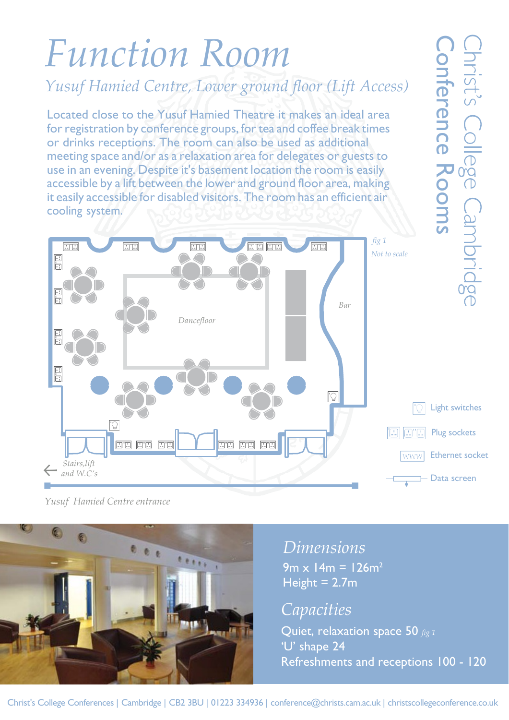## *Function Room*

*Yusuf Hamied Centre, Lower ground floor (Lift Access)*

Located close to the Yusuf Hamied Theatre it makes an ideal area for registration by conference groups, for tea and coffee break times or drinks receptions. The room can also be used as additional meeting space and/or as a relaxation area for delegates or guests to use in an evening. Despite it's basement location the room is easily accessible by a lift between the lower and ground floor area, making it easily accessible for disabled visitors. The room has an efficient air cooling system.

*A*<br> *A floor (Lift Access)*<br>
trakes an ideal area<br>
and coffee break times<br>
sued as additional<br>
blegates or guests to<br>
on the room is easily<br>
and floor area, making<br>
on has an efficient air<br>
on has an efficient air<br> **Burn** Rooms*fig 1*  $\boxdot$  "E *Not to scale*  $\Xi$ *Bar Dancefloor* Light switches Plug sockets **BB 88 88** 80 80 80 Ethernet socket *Stairs,lift and W.C's* Data screen

*Yusuf Hamied Centre entrance*

O  $1.1.1$ 531

*Dimensions*

 $9m \times 14m = 126m^2$ Height =  $2.7m$ 

*Capacities*

Quiet, relaxation space 50 *fig 1* 'U' shape 24

 $\vec{\sigma}$ 

rence